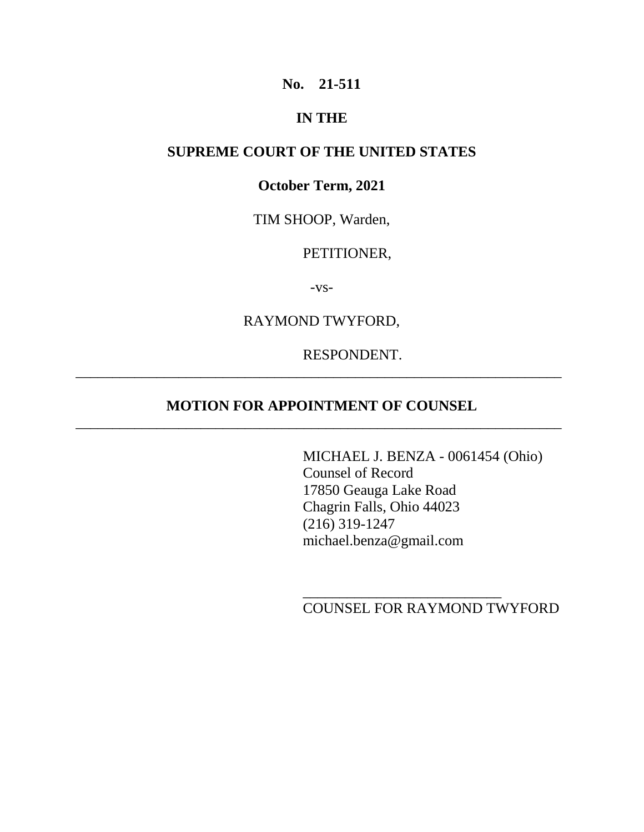**No. 21-511**

## **IN THE**

### **SUPREME COURT OF THE UNITED STATES**

### **October Term, 2021**

TIM SHOOP, Warden,

#### PETITIONER,

-vs-

#### RAYMOND TWYFORD,

RESPONDENT.

## **MOTION FOR APPOINTMENT OF COUNSEL** \_\_\_\_\_\_\_\_\_\_\_\_\_\_\_\_\_\_\_\_\_\_\_\_\_\_\_\_\_\_\_\_\_\_\_\_\_\_\_\_\_\_\_\_\_\_\_\_\_\_\_\_\_\_\_\_\_\_\_\_\_\_\_\_\_\_

 $\overline{\phantom{a}}$  , and the contribution of the contribution of the contribution of the contribution of the contribution of the contribution of the contribution of the contribution of the contribution of the contribution of the

MICHAEL J. BENZA - 0061454 (Ohio) Counsel of Record 17850 Geauga Lake Road Chagrin Falls, Ohio 44023 (216) 319-1247 michael.benza@gmail.com

COUNSEL FOR RAYMOND TWYFORD

\_\_\_\_\_\_\_\_\_\_\_\_\_\_\_\_\_\_\_\_\_\_\_\_\_\_\_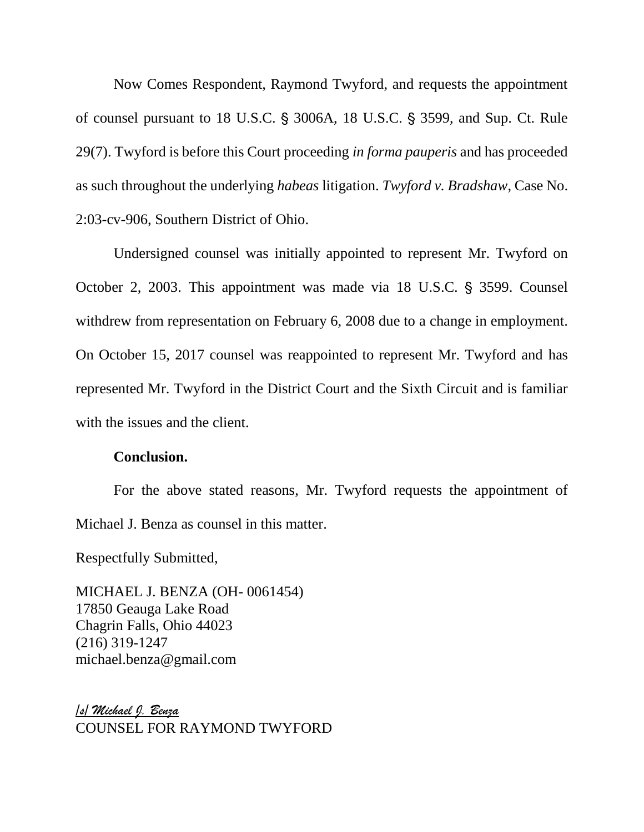Now Comes Respondent, Raymond Twyford, and requests the appointment of counsel pursuant to 18 U.S.C.  $\S$  3006A, 18 U.S.C.  $\S$  3599, and Sup. Ct. Rule 29(7). Twyford is before this Court proceeding *in forma pauperis* and has proceeded as such throughout the underlying *habeas* litigation. *Twyford v. Bradshaw*, Case No. 2:03-cv-906, Southern District of Ohio.

Undersigned counsel was initially appointed to represent Mr. Twyford on October 2, 2003. This appointment was made via 18 U.S.C.  $\S$  3599. Counsel withdrew from representation on February 6, 2008 due to a change in employment. On October 15, 2017 counsel was reappointed to represent Mr. Twyford and has represented Mr. Twyford in the District Court and the Sixth Circuit and is familiar with the issues and the client.

#### **Conclusion.**

For the above stated reasons, Mr. Twyford requests the appointment of Michael J. Benza as counsel in this matter.

Respectfully Submitted,

MICHAEL J. BENZA (OH- 0061454) 17850 Geauga Lake Road Chagrin Falls, Ohio 44023 (216) 319-1247 michael.benza@gmail.com

*/s/ Michael J. Benza* COUNSEL FOR RAYMOND TWYFORD